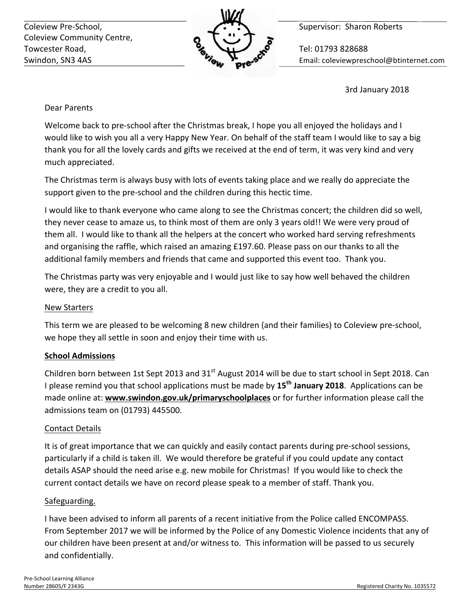Coleview Pre-School, **Supervisor:** Sharon Roberts Coleview Community Centre, Towcester Road,  $\sim$  Tel: 01793 828688



Swindon, SN3 4AS **Email:** Coleviewpreschool@btinternet.com

3rd January 2018

## Dear Parents

Welcome back to pre-school after the Christmas break, I hope you all enjoyed the holidays and I would like to wish you all a very Happy New Year. On behalf of the staff team I would like to say a big thank you for all the lovely cards and gifts we received at the end of term, it was very kind and very much appreciated.

The Christmas term is always busy with lots of events taking place and we really do appreciate the support given to the pre-school and the children during this hectic time.

I would like to thank everyone who came along to see the Christmas concert; the children did so well, they never cease to amaze us, to think most of them are only 3 years old!! We were very proud of them all. I would like to thank all the helpers at the concert who worked hard serving refreshments and organising the raffle, which raised an amazing £197.60. Please pass on our thanks to all the additional family members and friends that came and supported this event too. Thank you.

The Christmas party was very enjoyable and I would just like to say how well behaved the children were, they are a credit to you all.

## New Starters

This term we are pleased to be welcoming 8 new children (and their families) to Coleview pre-school, we hope they all settle in soon and enjoy their time with us.

## **School Admissions**

Children born between 1st Sept 2013 and  $31<sup>st</sup>$  August 2014 will be due to start school in Sept 2018. Can I please remind you that school applications must be made by 15<sup>th</sup> January 2018. Applications can be made online at: **www.swindon.gov.uk/primaryschoolplaces** or for further information please call the admissions team on (01793) 445500.

## Contact Details

It is of great importance that we can quickly and easily contact parents during pre-school sessions, particularly if a child is taken ill. We would therefore be grateful if you could update any contact details ASAP should the need arise e.g. new mobile for Christmas! If you would like to check the current contact details we have on record please speak to a member of staff. Thank you.

## Safeguarding.

I have been advised to inform all parents of a recent initiative from the Police called ENCOMPASS. From September 2017 we will be informed by the Police of any Domestic Violence incidents that any of our children have been present at and/or witness to. This information will be passed to us securely and confidentially.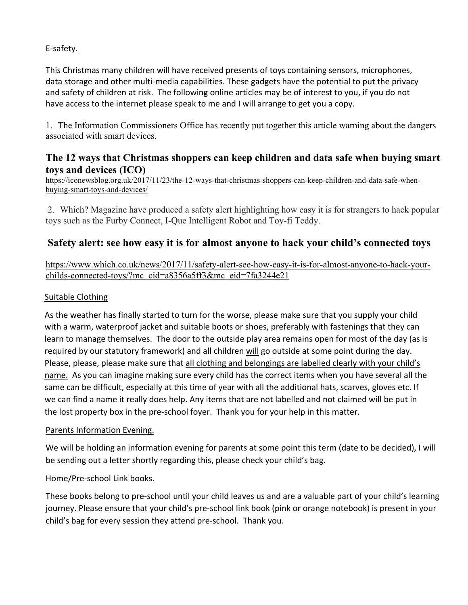### E-safety.

This Christmas many children will have received presents of toys containing sensors, microphones, data storage and other multi-media capabilities. These gadgets have the potential to put the privacy and safety of children at risk. The following online articles may be of interest to you, if you do not have access to the internet please speak to me and I will arrange to get you a copy.

1. The Information Commissioners Office has recently put together this article warning about the dangers associated with smart devices.

## **The 12 ways that Christmas shoppers can keep children and data safe when buying smart toys and devices (ICO)**

https://iconewsblog.org.uk/2017/11/23/the-12-ways-that-christmas-shoppers-can-keep-children-and-data-safe-whenbuying-smart-toys-and-devices/

2. Which? Magazine have produced a safety alert highlighting how easy it is for strangers to hack popular toys such as the Furby Connect, I-Que Intelligent Robot and Toy-fi Teddy.

# **Safety alert: see how easy it is for almost anyone to hack your child's connected toys**

https://www.which.co.uk/news/2017/11/safety-alert-see-how-easy-it-is-for-almost-anyone-to-hack-yourchilds-connected-toys/?mc\_cid=a8356a5ff3&mc\_eid=7fa3244e21

### Suitable Clothing

As the weather has finally started to turn for the worse, please make sure that you supply your child with a warm, waterproof jacket and suitable boots or shoes, preferably with fastenings that they can learn to manage themselves. The door to the outside play area remains open for most of the day (as is required by our statutory framework) and all children will go outside at some point during the day. Please, please, please make sure that all clothing and belongings are labelled clearly with your child's name. As you can imagine making sure every child has the correct items when you have several all the same can be difficult, especially at this time of year with all the additional hats, scarves, gloves etc. If we can find a name it really does help. Any items that are not labelled and not claimed will be put in the lost property box in the pre-school foyer. Thank you for your help in this matter.

### Parents Information Evening.

We will be holding an information evening for parents at some point this term (date to be decided), I will be sending out a letter shortly regarding this, please check your child's bag.

### Home/Pre-school Link books.

These books belong to pre-school until your child leaves us and are a valuable part of your child's learning journey. Please ensure that your child's pre-school link book (pink or orange notebook) is present in your child's bag for every session they attend pre-school. Thank you.